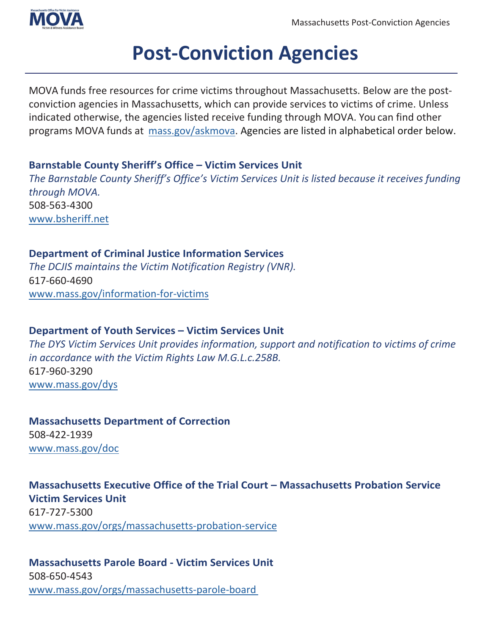

# **Post-Conviction Agencies**

MOVA funds free resources for crime victims throughout Massachusetts. Below are the postconviction agencies in Massachusetts, which can provide services to victims of crime. Unless indicated otherwise, the agencies listed receive funding through MOVA. You can find other programs MOVA funds at [mass.gov/askmova.](http://www.mass.gov/askmova) Agencies are listed in alphabetical order below.

# **Barnstable County Sheriff's Office – Victim Services Unit**

*The Barnstable County Sheriff's Office's Victim Services Unit is listed because it receives funding through MOVA.* 508-563-4300 [www.bsheriff.net](http://www.bsheriff.net/)

# **Department of Criminal Justice Information Services**

*The DCJIS maintains the Victim Notification Registry (VNR).* 617-660-4690 [www.mass.gov/information-for-victims](http://www.mass.gov/information-for-victims)

# **Department of Youth Services – Victim Services Unit**

*The DYS Victim Services Unit provides information, support and notification to victims of crime in accordance with the Victim Rights Law M.G.L.c.258B.* 617-960-3290 [www.mass.gov/dys](http://www.mass.gov/dys)

**Massachusetts Department of Correction**  508-422-1939 [www.mass.gov/doc](https://www.mass.gov/doc)

# **Massachusetts Executive Office of the Trial Court – Massachusetts Probation Service Victim Services Unit** 617-727-5300 [www.mass.gov/orgs/massachusetts-probation-service](http://www.mass.gov/orgs/massachusetts-probation-service)

# **Massachusetts Parole Board - Victim Services Unit**  508-650-4543 [www.mass.gov/orgs/massachusetts-parole-board](http://www.mass.gov/orgs/massachusetts-parole-board)